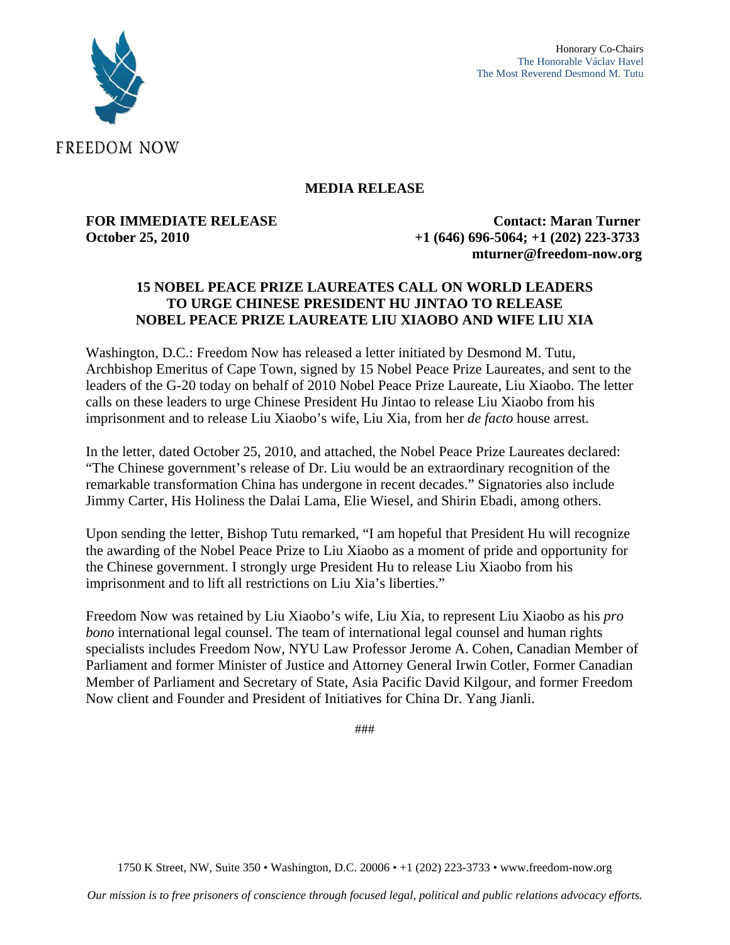



## **MEDIA RELEASE**

**FOR IMMEDIATE RELEASE Contact: Maran Turner October 25, 2010 +1 (646) 696-5064; +1 (202) 223-3733 mturner@freedom-now.org** 

## **15 NOBEL PEACE PRIZE LAUREATES CALL ON WORLD LEADERS TO URGE CHINESE PRESIDENT HU JINTAO TO RELEASE NOBEL PEACE PRIZE LAUREATE LIU XIAOBO AND WIFE LIU XIA**

Washington, D.C.: Freedom Now has released a letter initiated by Desmond M. Tutu, Archbishop Emeritus of Cape Town, signed by 15 Nobel Peace Prize Laureates, and sent to the leaders of the G-20 today on behalf of 2010 Nobel Peace Prize Laureate, Liu Xiaobo. The letter calls on these leaders to urge Chinese President Hu Jintao to release Liu Xiaobo from his imprisonment and to release Liu Xiaobo's wife, Liu Xia, from her *de facto* house arrest.

In the letter, dated October 25, 2010, and attached, the Nobel Peace Prize Laureates declared: "The Chinese government's release of Dr. Liu would be an extraordinary recognition of the remarkable transformation China has undergone in recent decades." Signatories also include Jimmy Carter, His Holiness the Dalai Lama, Elie Wiesel, and Shirin Ebadi, among others.

Upon sending the letter, Bishop Tutu remarked, "I am hopeful that President Hu will recognize the awarding of the Nobel Peace Prize to Liu Xiaobo as a moment of pride and opportunity for the Chinese government. I strongly urge President Hu to release Liu Xiaobo from his imprisonment and to lift all restrictions on Liu Xia's liberties."

Freedom Now was retained by Liu Xiaobo's wife, Liu Xia, to represent Liu Xiaobo as his *pro bono* international legal counsel. The team of international legal counsel and human rights specialists includes Freedom Now, NYU Law Professor Jerome A. Cohen, Canadian Member of Parliament and former Minister of Justice and Attorney General Irwin Cotler, Former Canadian Member of Parliament and Secretary of State, Asia Pacific David Kilgour, and former Freedom Now client and Founder and President of Initiatives for China Dr. Yang Jianli.

###

1750 K Street, NW, Suite 350 • Washington, D.C. 20006 • +1 (202) 223-3733 • www.freedom-now.org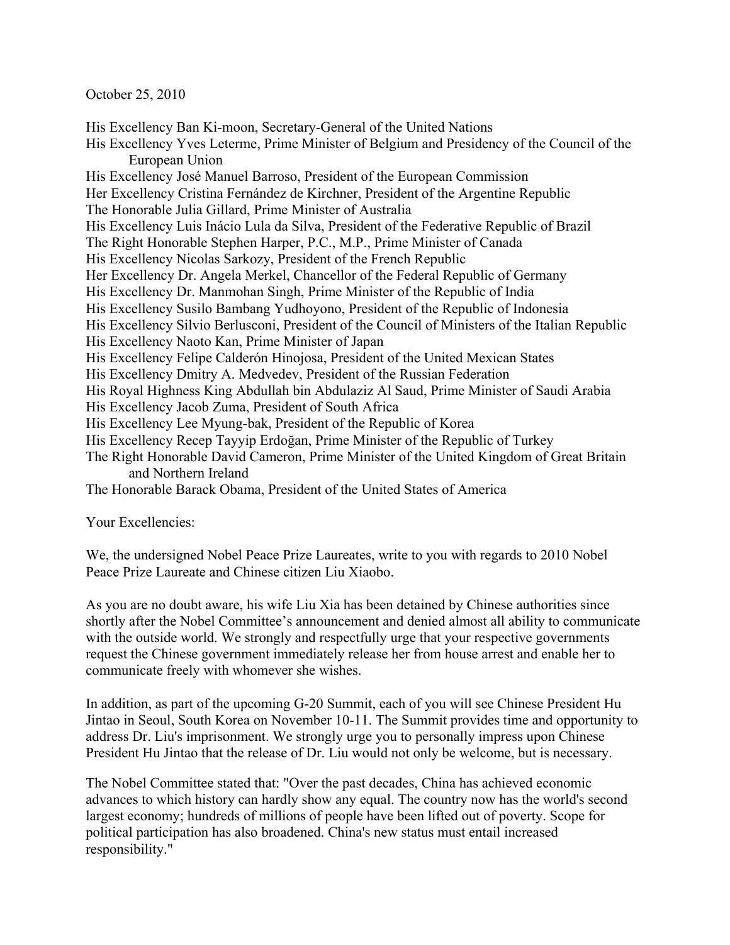October 25, 2010

His Excellency Ban Ki-moon, Secretary-General of the United Nations His Excellency Yves Leterme, Prime Minister of Belgium and Presidency of the Council of the European Union His Excellency José Manuel Barroso, President of the European Commission Her Excellency Cristina Fernández de Kirchner, President of the Argentine Republic The Honorable Julia Gillard, Prime Minister of Australia His Excellency Luis Inácio Lula da Silva, President of the Federative Republic of Brazil The Right Honorable Stephen Harper, P.C., M.P., Prime Minister of Canada His Excellency Nicolas Sarkozy, President of the French Republic Her Excellency Dr. Angela Merkel, Chancellor of the Federal Republic of Germany His Excellency Dr. Manmohan Singh, Prime Minister of the Republic of India His Excellency Susilo Bambang Yudhoyono, President of the Republic of Indonesia His Excellency Silvio Berlusconi, President of the Council of Ministers of the Italian Republic His Excellency Naoto Kan, Prime Minister of Japan His Excellency Felipe Calderón Hinojosa, President of the United Mexican States His Excellency Dmitry A. Medvedev, President of the Russian Federation His Royal Highness King Abdullah bin Abdulaziz Al Saud, Prime Minister of Saudi Arabia His Excellency Jacob Zuma, President of South Africa His Excellency Lee Myung-bak, President of the Republic of Korea His Excellency Recep Tayyip Erdoğan, Prime Minister of the Republic of Turkey The Right Honorable David Cameron, Prime Minister of the United Kingdom of Great Britain and Northern Ireland The Honorable Barack Obama, President of the United States of America

Your Excellencies:

We, the undersigned Nobel Peace Prize Laureates, write to you with regards to 2010 Nobel Peace Prize Laureate and Chinese citizen Liu Xiaobo.

As you are no doubt aware, his wife Liu Xia has been detained by Chinese authorities since shortly after the Nobel Committee's announcement and denied almost all ability to communicate with the outside world. We strongly and respectfully urge that your respective governments request the Chinese government immediately release her from house arrest and enable her to communicate freely with whomever she wishes.

In addition, as part of the upcoming G-20 Summit, each of you will see Chinese President Hu Jintao in Seoul, South Korea on November 10-11. The Summit provides time and opportunity to address Dr. Liu's imprisonment. We strongly urge you to personally impress upon Chinese President Hu Jintao that the release of Dr. Liu would not only be welcome, but is necessary.

The Nobel Committee stated that: "Over the past decades, China has achieved economic advances to which history can hardly show any equal. The country now has the world's second largest economy; hundreds of millions of people have been lifted out of poverty. Scope for political participation has also broadened. China's new status must entail increased responsibility."